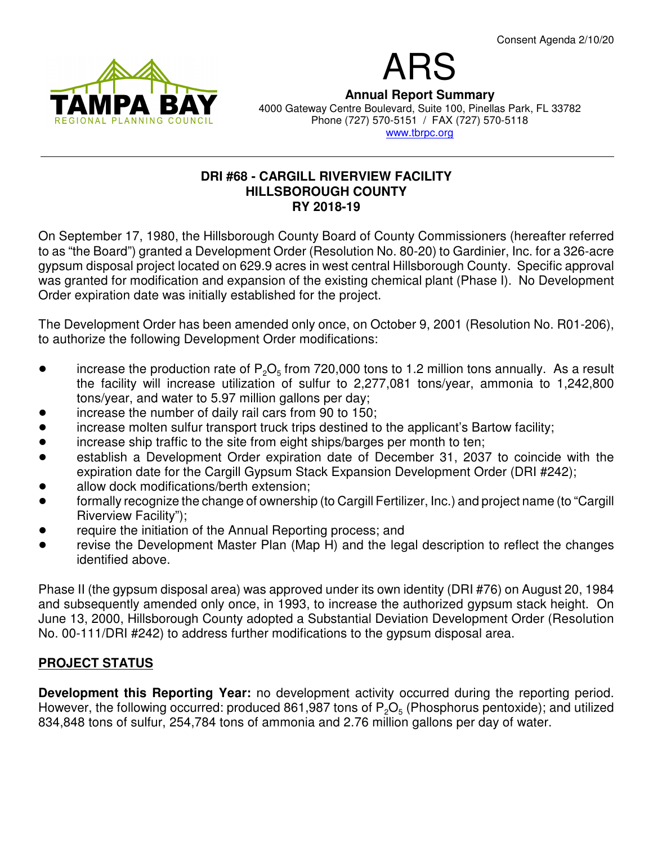

ARS **Annual Report Summary** 4000 Gateway Centre Boulevard, Suite 100, Pinellas Park, FL 33782 Phone (727) 570-5151 / FAX (727) 570-5118 www.tbrpc.org

#### **DRI #68 - CARGILL RIVERVIEW FACILITY HILLSBOROUGH COUNTY RY 2018-19**

On September 17, 1980, the Hillsborough County Board of County Commissioners (hereafter referred to as "the Board") granted a Development Order (Resolution No. 80-20) to Gardinier, Inc. for a 326-acre gypsum disposal project located on 629.9 acres in west central Hillsborough County. Specific approval was granted for modification and expansion of the existing chemical plant (Phase I). No Development Order expiration date was initially established for the project.

The Development Order has been amended only once, on October 9, 2001 (Resolution No. R01-206), to authorize the following Development Order modifications:

- increase the production rate of  $P_2O_5$  from 720,000 tons to 1.2 million tons annually. As a result the facility will increase utilization of sulfur to 2,277,081 tons/year, ammonia to 1,242,800 tons/year, and water to 5.97 million gallons per day;
- increase the number of daily rail cars from 90 to 150;
- increase molten sulfur transport truck trips destined to the applicant's Bartow facility;
- increase ship traffic to the site from eight ships/barges per month to ten;
- establish a Development Order expiration date of December 31, 2037 to coincide with the expiration date for the Cargill Gypsum Stack Expansion Development Order (DRI #242);
- allow dock modifications/berth extension;
- ! formally recognize the change of ownership (to Cargill Fertilizer, Inc.) and project name (to "Cargill Riverview Facility");
- require the initiation of the Annual Reporting process; and
- revise the Development Master Plan (Map H) and the legal description to reflect the changes identified above.

Phase II (the gypsum disposal area) was approved under its own identity (DRI #76) on August 20, 1984 and subsequently amended only once, in 1993, to increase the authorized gypsum stack height. On June 13, 2000, Hillsborough County adopted a Substantial Deviation Development Order (Resolution No. 00-111/DRI #242) to address further modifications to the gypsum disposal area.

## **PROJECT STATUS**

**Development this Reporting Year:** no development activity occurred during the reporting period. However, the following occurred: produced 861,987 tons of  $\mathsf{P}_2\mathsf{O}_5$  (Phosphorus pentoxide); and utilized 834,848 tons of sulfur, 254,784 tons of ammonia and 2.76 million gallons per day of water.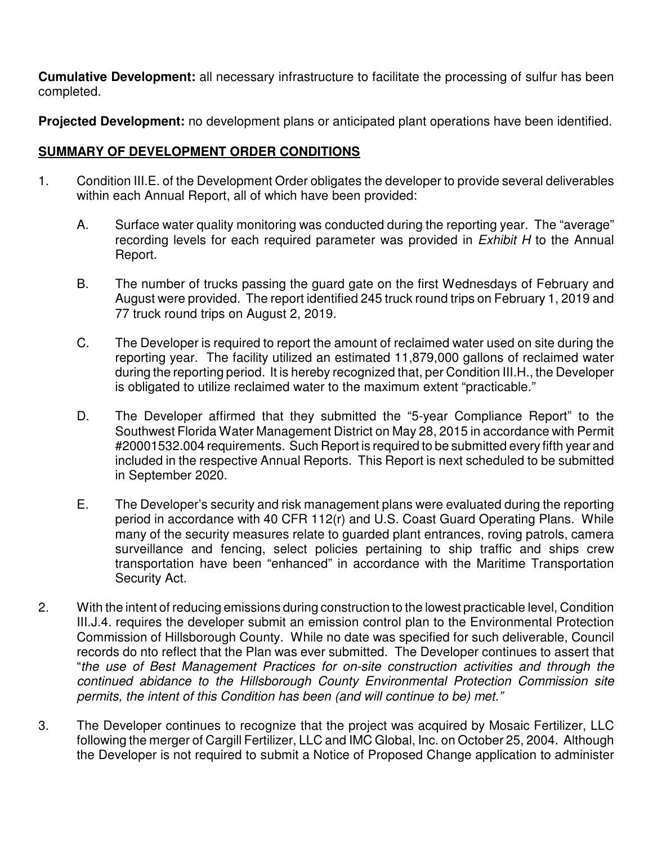**Cumulative Development:** all necessary infrastructure to facilitate the processing of sulfur has been completed.

**Projected Development:** no development plans or anticipated plant operations have been identified.

# **SUMMARY OF DEVELOPMENT ORDER CONDITIONS**

- 1. Condition III.E. of the Development Order obligates the developer to provide several deliverables within each Annual Report, all of which have been provided:
	- A. Surface water quality monitoring was conducted during the reporting year. The "average" recording levels for each required parameter was provided in Exhibit H to the Annual Report.
	- B. The number of trucks passing the guard gate on the first Wednesdays of February and August were provided. The report identified 245 truck round trips on February 1, 2019 and 77 truck round trips on August 2, 2019.
	- C. The Developer is required to report the amount of reclaimed water used on site during the reporting year. The facility utilized an estimated 11,879,000 gallons of reclaimed water during the reporting period. It is hereby recognized that, per Condition III.H., the Developer is obligated to utilize reclaimed water to the maximum extent "practicable."
	- D. The Developer affirmed that they submitted the "5-year Compliance Report" to the Southwest Florida Water Management District on May 28, 2015 in accordance with Permit #20001532.004 requirements. Such Report is required to be submitted every fifth year and included in the respective Annual Reports. This Report is next scheduled to be submitted in September 2020.
	- E. The Developer's security and risk management plans were evaluated during the reporting period in accordance with 40 CFR 112(r) and U.S. Coast Guard Operating Plans. While many of the security measures relate to guarded plant entrances, roving patrols, camera surveillance and fencing, select policies pertaining to ship traffic and ships crew transportation have been "enhanced" in accordance with the Maritime Transportation Security Act.
- 2. With the intent of reducing emissions during construction to the lowest practicable level, Condition III.J.4. requires the developer submit an emission control plan to the Environmental Protection Commission of Hillsborough County. While no date was specified for such deliverable, Council records do nto reflect that the Plan was ever submitted. The Developer continues to assert that "the use of Best Management Practices for on-site construction activities and through the continued abidance to the Hillsborough County Environmental Protection Commission site permits, the intent of this Condition has been (and will continue to be) met."
- 3. The Developer continues to recognize that the project was acquired by Mosaic Fertilizer, LLC following the merger of Cargill Fertilizer, LLC and IMC Global, Inc. on October 25, 2004. Although the Developer is not required to submit a Notice of Proposed Change application to administer